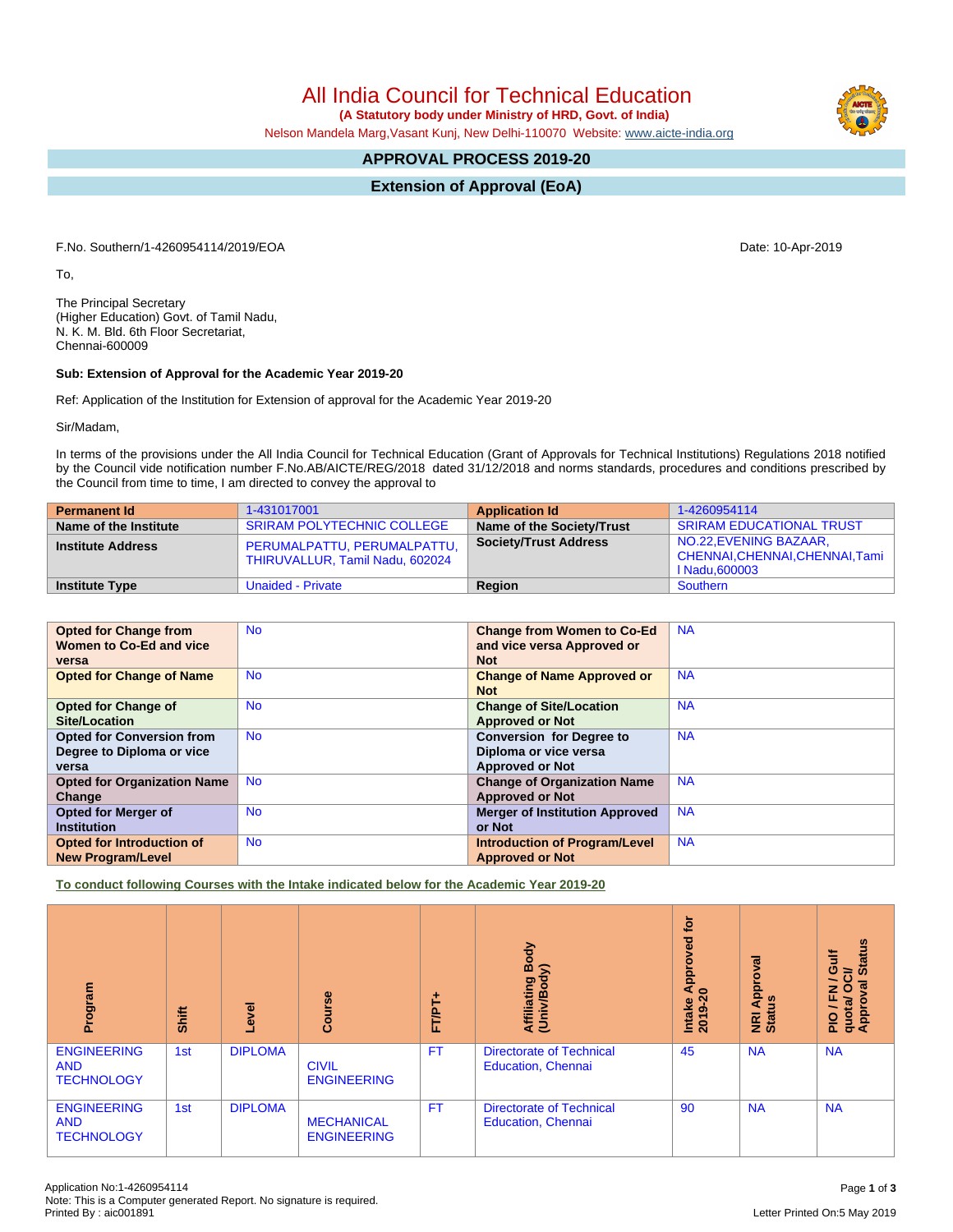All India Council for Technical Education

 **(A Statutory body under Ministry of HRD, Govt. of India)**

Nelson Mandela Marg,Vasant Kunj, New Delhi-110070 Website: [www.aicte-india.org](http://www.aicte-india.org)

# **APPROVAL PROCESS 2019-20**

**Extension of Approval (EoA)**

F.No. Southern/1-4260954114/2019/EOA Date: 10-Apr-2019

To,

The Principal Secretary (Higher Education) Govt. of Tamil Nadu, N. K. M. Bld. 6th Floor Secretariat, Chennai-600009

#### **Sub: Extension of Approval for the Academic Year 2019-20**

Ref: Application of the Institution for Extension of approval for the Academic Year 2019-20

Sir/Madam,

In terms of the provisions under the All India Council for Technical Education (Grant of Approvals for Technical Institutions) Regulations 2018 notified by the Council vide notification number F.No.AB/AICTE/REG/2018 dated 31/12/2018 and norms standards, procedures and conditions prescribed by the Council from time to time, I am directed to convey the approval to

| <b>Permanent Id</b>      | 1-431017001                                                    | <b>Application Id</b>        | 1-4260954114                                                               |
|--------------------------|----------------------------------------------------------------|------------------------------|----------------------------------------------------------------------------|
| Name of the Institute    | <b>SRIRAM POLYTECHNIC COLLEGE</b>                              | Name of the Society/Trust    | <b>SRIRAM EDUCATIONAL TRUST</b>                                            |
| <b>Institute Address</b> | PERUMALPATTU, PERUMALPATTU,<br>THIRUVALLUR, Tamil Nadu, 602024 | <b>Society/Trust Address</b> | NO.22, EVENING BAZAAR,<br>CHENNAI, CHENNAI, CHENNAI, Tami<br>I Nadu.600003 |
| <b>Institute Type</b>    | Unaided - Private                                              | Region                       | Southern                                                                   |

| <b>Opted for Change from</b>       | <b>No</b> | <b>Change from Women to Co-Ed</b>     | <b>NA</b> |
|------------------------------------|-----------|---------------------------------------|-----------|
| Women to Co-Ed and vice            |           | and vice versa Approved or            |           |
| versa                              |           | <b>Not</b>                            |           |
| <b>Opted for Change of Name</b>    | <b>No</b> | <b>Change of Name Approved or</b>     | <b>NA</b> |
|                                    |           | <b>Not</b>                            |           |
| <b>Opted for Change of</b>         | <b>No</b> | <b>Change of Site/Location</b>        | <b>NA</b> |
| Site/Location                      |           | <b>Approved or Not</b>                |           |
| <b>Opted for Conversion from</b>   | <b>No</b> | <b>Conversion for Degree to</b>       | <b>NA</b> |
| Degree to Diploma or vice          |           | Diploma or vice versa                 |           |
| versa                              |           | <b>Approved or Not</b>                |           |
| <b>Opted for Organization Name</b> | <b>No</b> | <b>Change of Organization Name</b>    | <b>NA</b> |
| Change                             |           | <b>Approved or Not</b>                |           |
| <b>Opted for Merger of</b>         | <b>No</b> | <b>Merger of Institution Approved</b> | <b>NA</b> |
| <b>Institution</b>                 |           | or Not                                |           |
| Opted for Introduction of          | <b>No</b> | <b>Introduction of Program/Level</b>  | <b>NA</b> |
| <b>New Program/Level</b>           |           | <b>Approved or Not</b>                |           |

**To conduct following Courses with the Intake indicated below for the Academic Year 2019-20**

| Program                                               | <b>Shift</b> | Level          | Course                                  | FT/PT+    | <b>Affiliating Body</b><br>(Univ/Bodv)                       | <b>b</b><br>Approved<br>$\circ$<br><b>Intake</b><br>2019 | pproval<br>g<br>⋖<br>NRI<br>Statu | <b>Status</b><br>š<br>O<br>$\vec{c}$<br>∽<br>g<br>O<br>준<br>quota/<br>Approv<br>$\frac{1}{2}$ |
|-------------------------------------------------------|--------------|----------------|-----------------------------------------|-----------|--------------------------------------------------------------|----------------------------------------------------------|-----------------------------------|-----------------------------------------------------------------------------------------------|
| <b>ENGINEERING</b><br><b>AND</b><br><b>TECHNOLOGY</b> | 1st          | <b>DIPLOMA</b> | <b>CIVIL</b><br><b>ENGINEERING</b>      | <b>FT</b> | <b>Directorate of Technical</b><br><b>Education, Chennai</b> | 45                                                       | <b>NA</b>                         | <b>NA</b>                                                                                     |
| <b>ENGINEERING</b><br><b>AND</b><br><b>TECHNOLOGY</b> | 1st          | <b>DIPLOMA</b> | <b>MECHANICAL</b><br><b>ENGINEERING</b> | <b>FT</b> | <b>Directorate of Technical</b><br><b>Education, Chennai</b> | 90                                                       | <b>NA</b>                         | <b>NA</b>                                                                                     |

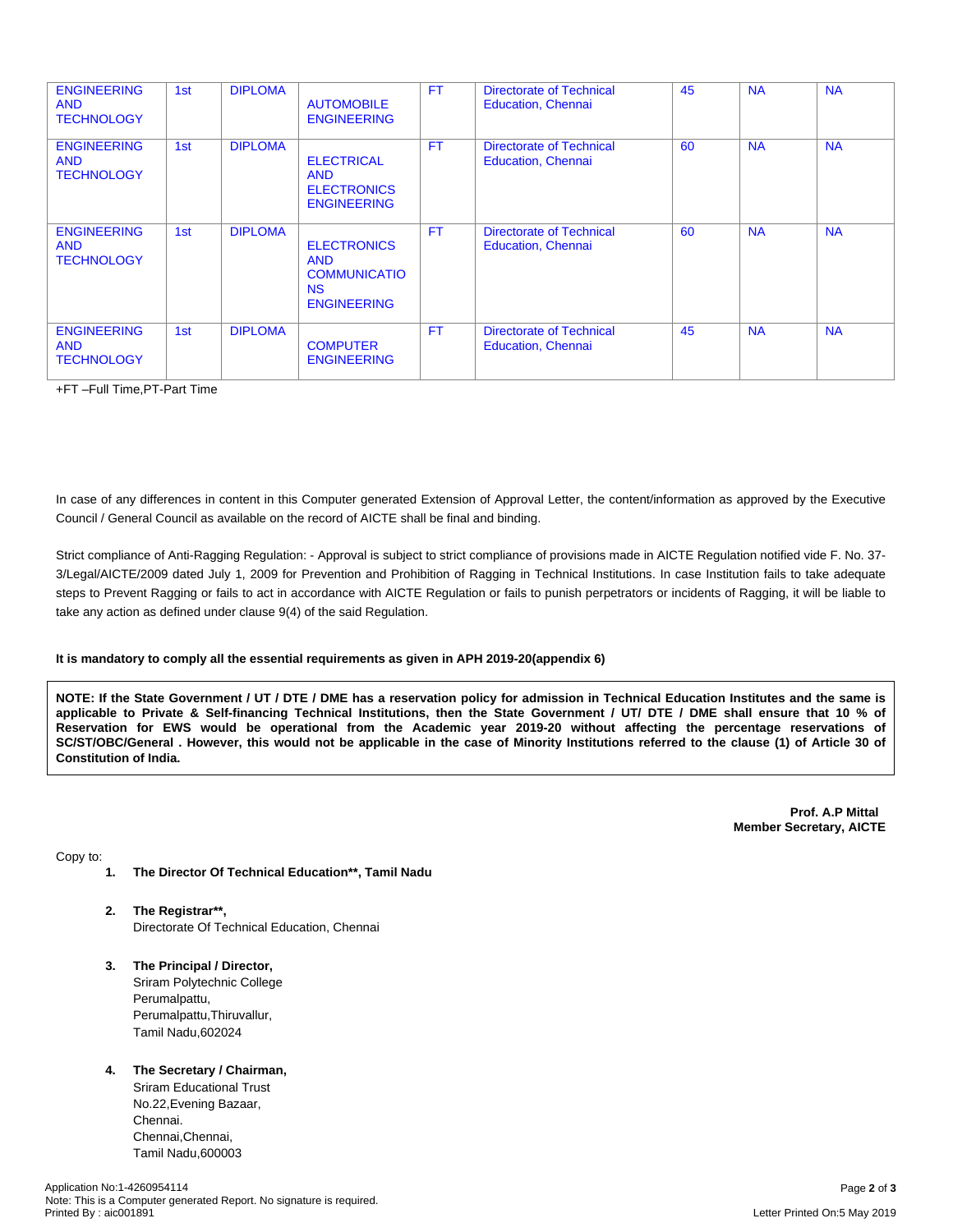| <b>ENGINEERING</b><br><b>AND</b><br><b>TECHNOLOGY</b> | 1st | <b>DIPLOMA</b> | <b>AUTOMOBILE</b><br><b>ENGINEERING</b>                                              | <b>FT</b> | <b>Directorate of Technical</b><br><b>Education, Chennai</b> | 45 | <b>NA</b> | <b>NA</b> |
|-------------------------------------------------------|-----|----------------|--------------------------------------------------------------------------------------|-----------|--------------------------------------------------------------|----|-----------|-----------|
| <b>ENGINEERING</b><br><b>AND</b><br><b>TECHNOLOGY</b> | 1st | <b>DIPLOMA</b> | <b>ELECTRICAL</b><br><b>AND</b><br><b>ELECTRONICS</b><br><b>ENGINEERING</b>          | <b>FT</b> | <b>Directorate of Technical</b><br><b>Education, Chennai</b> | 60 | <b>NA</b> | <b>NA</b> |
| <b>ENGINEERING</b><br><b>AND</b><br><b>TECHNOLOGY</b> | 1st | <b>DIPLOMA</b> | <b>ELECTRONICS</b><br><b>AND</b><br><b>COMMUNICATIO</b><br>NS.<br><b>ENGINEERING</b> | <b>FT</b> | <b>Directorate of Technical</b><br><b>Education, Chennai</b> | 60 | <b>NA</b> | <b>NA</b> |
| <b>ENGINEERING</b><br><b>AND</b><br><b>TECHNOLOGY</b> | 1st | <b>DIPLOMA</b> | <b>COMPUTER</b><br><b>ENGINEERING</b>                                                | <b>FT</b> | <b>Directorate of Technical</b><br><b>Education, Chennai</b> | 45 | <b>NA</b> | <b>NA</b> |

+FT –Full Time,PT-Part Time

In case of any differences in content in this Computer generated Extension of Approval Letter, the content/information as approved by the Executive Council / General Council as available on the record of AICTE shall be final and binding.

Strict compliance of Anti-Ragging Regulation: - Approval is subject to strict compliance of provisions made in AICTE Regulation notified vide F. No. 37- 3/Legal/AICTE/2009 dated July 1, 2009 for Prevention and Prohibition of Ragging in Technical Institutions. In case Institution fails to take adequate steps to Prevent Ragging or fails to act in accordance with AICTE Regulation or fails to punish perpetrators or incidents of Ragging, it will be liable to take any action as defined under clause 9(4) of the said Regulation.

#### **It is mandatory to comply all the essential requirements as given in APH 2019-20(appendix 6)**

NOTE: If the State Government / UT / DTE / DME has a reservation policy for admission in Technical Education Institutes and the same is applicable to Private & Self-financing Technical Institutions, then the State Government / UT/ DTE / DME shall ensure that 10 % of Reservation for EWS would be operational from the Academic year 2019-20 without affecting the percentage reservations of SC/ST/OBC/General . However, this would not be applicable in the case of Minority Institutions referred to the clause (1) of Article 30 of **Constitution of India.**

> **Prof. A.P Mittal Member Secretary, AICTE**

Copy to:

- **1. The Director Of Technical Education\*\*, Tamil Nadu**
- **2. The Registrar\*\*,** Directorate Of Technical Education, Chennai
- **3. The Principal / Director,** Sriram Polytechnic College Perumalpattu, Perumalpattu,Thiruvallur, Tamil Nadu,602024

## **4. The Secretary / Chairman,**

Sriram Educational Trust No.22,Evening Bazaar, Chennai. Chennai,Chennai, Tamil Nadu,600003